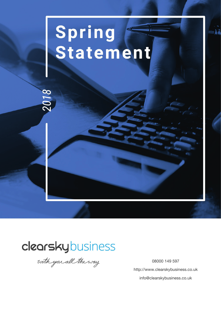## Spring Statement

### clearskybusiness

018

with you all the way

08000 149 597 http://www.clearskybusiness.co.uk info@clearskybusiness.co.uk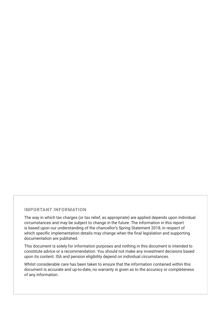#### **IMPORTANT INFORMATION**

The way in which tax charges (or tax relief, as appropriate) are applied depends upon individual circumstances and may be subject to change in the future. The information in this report is based upon our understanding of the chancellor's Spring Statement 2018, in respect of which specific implementation details may change when the final legislation and supporting documentation are published.

This document is solely for information purposes and nothing in this document is intended to constitute advice or a recommendation. You should not make any investment decisions based upon its content. ISA and pension eligibility depend on individual circumstances.

Whilst considerable care has been taken to ensure that the information contained within this document is accurate and up-to-date, no warranty is given as to the accuracy or completeness of any information.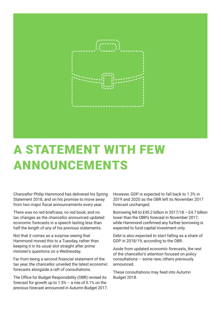

## A STATEMENT WITH FEW ANNOUNCEMENTS

Chancellor Philip Hammond has delivered his Spring Statement 2018, and on his promise to move away from two major fiscal announcements every year.

There was no red briefcase, no red book, and no tax changes as the chancellor announced updated economic forecasts in a speech lasting less than half the length of any of his previous statements.

Not that it comes as a surprise seeing that Hammond moved this to a Tuesday, rather than keeping it in its usual slot straight after prime minister's questions on a Wednesday.

Far from being a second financial statement of the tax year, the chancellor unveiled the latest economic forecasts alongside a raft of consultations.

The Ofice for Budget Responsibility (OBR) revised its forecast for growth up to  $1.5%$  – a rise of 0.1% on the previous forecast announced in Autumn Budget 2017.

However, GDP is expected to fall back to 1.3% in 2019 and 2020 as the OBR left its November 2017 forecast unchanged.

Borrowing fell to £45.2 billion in 2017/18 – £4.7 billion lower than the OBR's forecast in November 2017, while Hammond confirmed any further borrowing is expected to fund capital investment only.

Debt is also expected to start falling as a share of GDP in 2018/19, according to the OBR.

Aside from updated economic forecasts, the rest of the chancellor's attention focused on policy consultations – some new, others previously announced.

These consultations may feed into Autumn Budget 2018.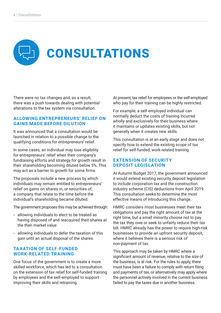# CONSULTATIONS

There were no tax changes and, as a result, there was a push towards dealing with potential alterations to the tax system via consultation.

#### **ALLOWING ENTREPRENEURS' RELIEF ON GAINS MADE BEFORE DILUTION**

It was announced that a consultation would be launched in relation to a possible change to the qualifying conditions for entrepreneurs' relief.

In some cases, an individual may lose eligibility for entrepreneurs' relief when their company's fundraising efforts and strategy for growth result in their shareholding becoming diluted below 5%. This may act as a barrier to growth for some firms.

The proposals include a new process by which individuals may remain entitled to entrepreneurs' relief on gains on shares in, or securities of, a company that relate to the time before the individual's shareholding became diluted.

The government proposes this may be achieved through:

- allowing individuals to elect to be treated as having disposed of and reacquired their shares at the then market value
- allowing individuals to defer the taxation of this gain until an actual disposal of the shares.

#### **TAXATION OF SELF-FUNDED WORK-RELATED TRAINING**

One focus of the government is to create a more skilled workforce, which has led to a consultation on the extension of tax relief for self-funded training by employees and the self-employed to support improving their skills and retraining.

At present, tax relief for employees or the self-employed who pay for their training can be highly restricted.

For example, a self-employed individual can normally deduct the costs of training incurred wholly and exclusively for their business where it maintains or updates existing skills, but not generally when it creates new skills.

This consultation is at an early stage and does not specify how to extend the existing scope of tax relief for self-funded, work-related training.

#### **EXTENSION OF SECURITY DEPOSIT LEGISLATION**

At Autumn Budget 2017, the government announced it would extend existing security deposit legislation to include corporation tax and the construction industry scheme (CIS) deductions from April 2019. This consultation seeks to determine the most effective means of introducing this change.

HMRC considers most businesses meet their tax obligations and pay the right amount of tax at the right time, but a small minority choose not to pay the tax they owe or seek to unfairly reduce their tax bill. HMRC already has the power to require high-risk businesses to provide an upfront security deposit, where it believes there is a serious risk of non-payment of tax.

This approach may be taken by HMRC where a significant amount of revenue, relative to the size of the business, is at risk. For the rules to apply, there must have been a failure to comply with return filing and payments of tax, or alternatively may apply where the personnel actively involved in the current business failed to pay the taxes due in another business.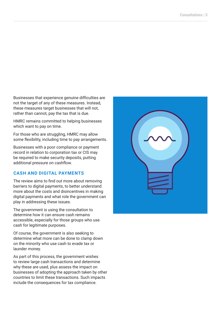Businesses that experience genuine dificulties are not the target of any of these measures. Instead, these measures target businesses that will not, rather than cannot, pay the tax that is due.

HMRC remains committed to helping businesses which want to pay on time.

For those who are struggling, HMRC may allow some flexibility, including time to pay arrangements.

Businesses with a poor compliance or payment record in relation to corporation tax or CIS may be required to make security deposits, putting additional pressure on cashflow.

#### **CASH AND DIGITAL PAYMENTS**

The review aims to find out more about removing barriers to digital payments, to better understand more about the costs and disincentives in making digital payments and what role the government can play in addressing these issues.

The government is using the consultation to determine how it can ensure cash remains accessible, especially for those groups who use cash for legitimate purposes.

Of course, the government is also seeking to determine what more can be done to clamp down on the minority who use cash to evade tax or launder money.

As part of this process, the government wishes to review large cash transactions and determine why these are used, plus assess the impact on businesses of adopting the approach taken by other countries to limit these transactions. Such impacts include the consequences for tax compliance.

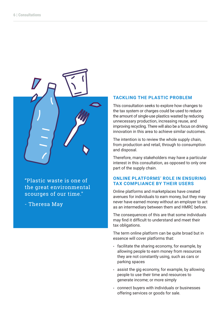

"Plastic waste is one of the great environmental scourges of our time."

- Theresa May

#### **TACKLING THE PLASTIC PROBLEM**

This consultation seeks to explore how changes to the tax system or charges could be used to reduce the amount of single-use plastics wasted by reducing unnecessary production, increasing reuse, and improving recycling. There will also be a focus on driving innovation in this area to achieve similar outcomes.

The intention is to review the whole supply chain, from production and retail, through to consumption and disposal.

Therefore, many stakeholders may have a particular interest in this consultation, as opposed to only one part of the supply chain.

#### **ONLINE PLATFORMS' ROLE IN ENSURING TAX COMPLIANCE BY THEIR USERS**

Online platforms and marketplaces have created avenues for individuals to earn money, but they may never have earned money without an employer to act as an intermediary between them and HMRC before.

The consequences of this are that some individuals may find it difficult to understand and meet their tax obligations.

The term online platform can be quite broad but in essence will cover platforms that:

- facilitate the sharing economy, for example, by allowing people to earn money from resources they are not constantly using, such as cars or parking spaces
- assist the gig economy, for example, by allowing people to use their time and resources to generate income; or more simply
- connect buyers with individuals or businesses offering services or goods for sale.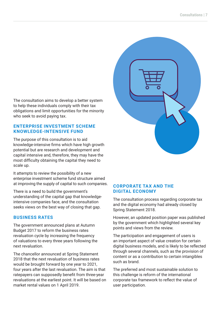The consultation aims to develop a better system to help these individuals comply with their tax obligations and limit opportunities for the minority who seek to avoid paying tax.

#### **ENTERPRISE INVESTMENT SCHEME KNOWLEDGE-INTENSIVE FUND**

The purpose of this consultation is to aid knowledge-intensive firms which have high growth potential but are research and development and capital intensive and, therefore, they may have the most dificulty obtaining the capital they need to scale up.

It attempts to review the possibility of a new enterprise investment scheme fund structure aimed at improving the supply of capital to such companies.

There is a need to build the government's understanding of the capital gap that knowledgeintensive companies face, and the consultation seeks views on the best way of closing that gap.

#### **BUSINESS RATES**

The government announced plans at Autumn Budget 2017 to reform the business rates revaluation cycle by increasing the frequency of valuations to every three years following the next revaluation.

The chancellor announced at Spring Statement 2018 that the next revaluation of business rates would be brought forward by one year to 2021, four years after the last revaluation. The aim is that ratepayers can supposedly benefit from three-year revaluations at the earliest point. It will be based on market rental values on 1 April 2019.



#### **CORPORATE TAX AND THE DIGITAL ECONOMY**

The consultation process regarding corporate tax and the digital economy had already closed by Spring Statement 2018.

However, an updated position paper was published by the government which highlighted several key points and views from the review.

The participation and engagement of users is an important aspect of value creation for certain digital business models, and is likely to be reflected through several channels, such as the provision of content or as a contribution to certain intangibles such as brand.

The preferred and most sustainable solution to this challenge is reform of the international corporate tax framework to reflect the value of user participation.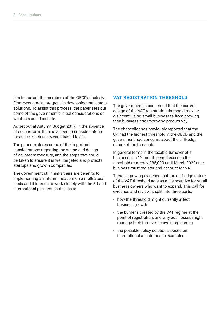It is important the members of the OECD's Inclusive Framework make progress in developing multilateral solutions. To assist this process, the paper sets out some of the government's initial considerations on what this could include.

As set out at Autumn Budget 2017, in the absence of such reform, there is a need to consider interim measures such as revenue-based taxes.

The paper explores some of the important considerations regarding the scope and design of an interim measure, and the steps that could be taken to ensure it is well targeted and protects startups and growth companies.

The government still thinks there are benefits to implementing an interim measure on a multilateral basis and it intends to work closely with the EU and international partners on this issue.

#### **VAT REGISTRATION THRESHOLD**

The government is concerned that the current design of the VAT registration threshold may be disincentivising small businesses from growing their business and improving productivity.

The chancellor has previously reported that the UK had the highest threshold in the OECD and the government had concerns about the cliff-edge nature of the threshold.

In general terms, if the taxable turnover of a business in a 12-month period exceeds the threshold (currently £85,000 until March 2020) the business must register and account for VAT.

There is growing evidence that the cliff-edge nature of the VAT threshold acts as a disincentive for small business owners who want to expand. This call for evidence and review is split into three parts:

- how the threshold might currently affect business growth
- the burdens created by the VAT regime at the point of registration, and why businesses might manage their turnover to avoid registering
- the possible policy solutions, based on international and domestic examples.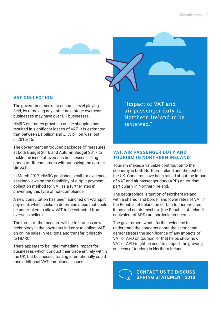

#### **VAT COLLECTION**

The government seeks to ensure a level playing field, by removing any unfair advantage overseas businesses may have over UK businesses.

HMRC estimates growth in online shopping has resulted in significant losses of VAT. It is estimated that between £1 billion and £1.5 billion was lost in 2015/16.

The government introduced packages of measures at both Budget 2016 and Autumn Budget 2017 to tackle the issue of overseas businesses selling goods to UK consumers without paying the correct UK VAT.

In March 2017, HMRC published a call for evidence, seeking views on the feasibility of a 'split payment' collection method for VAT as a further step in preventing this type of non-compliance.

A new consultation has been launched on VAT split payment, which seeks to determine steps that could be undertaken to allow VAT to be extracted from overseas sellers.

The thrust of the measure will be to harness new technology in the payments industry to collect VAT on online sales in real time and transfer it directly to HMRC.

There appears to be little immediate impact for businesses which conduct their trade entirely within the UK, but businesses trading internationally could face additional VAT compliance issues.

"Impact of VAT and air passenger duty in Northern Ireland to be reviewed."

#### **VAT, AIR PASSENGER DUTY AND TOURISM IN NORTHERN IRELAND**

Tourism makes a valuable contribution to the economy in both Northern Ireland and the rest of the UK. Concerns have been raised about the impact of VAT and air passenger duty (APD) on tourism, particularly in Northern Ireland.

The geographical situation of Northern Ireland, with a shared land border, and lower rates of VAT in the Republic of Ireland on certain tourism-related items and no air travel tax (the Republic of Ireland's equivalent of APD) are particular concerns.

The government wants further evidence to understand the concerns about the sector, that demonstrates the significance of any impacts of VAT or APD on tourism, or that helps show how VAT or APD might be used to support the growing success of tourism in Northern Ireland.

> **CONTACT US TO DISCUSS SPRING STATEMENT 2018**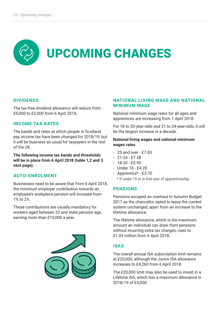# UPCOMING CHANGES

#### **DIVIDENDS**

The tax-free dividend allowance will reduce from £5,000 to £2,000 from 6 April 2018.

#### **INCOME TAX RATES**

The bands and rates at which people in Scotland pay income tax have been changed for 2018/19, but it will be business as usual for taxpayers in the rest of the UK.

**The following income tax bands and thresholds will be in place from 6 April 2018 (table 1,2 and 3 next page).**

#### **AUTO-ENROLMENT**

Businesses need to be aware that from 6 April 2018, the minimum employer contribution towards an employee's workplace pension will increase from 1% to 2%.

These contributions are usually mandatory for workers aged between 22 and state pension age, earning more than £10,000 a year.



#### **NATIONAL LIVING WAGE AND NATIONAL MINIMUM WAGE**

National minimum wage rates for all ages and apprentices are increasing from 1 April 2018.

For 18 to 20-year-olds and 21 to 24-year-olds, it will be the largest increase in a decade.

#### **National living wages and national minimum wages rates**

- 25 and over £7.83
- $21 24 27.38$
- $18-20 5.90$
- Under 18 £4.20
- Apprentice\* £3.70

\* If under 19 or in first year of apprenticeship.

#### **PENSIONS**

Pensions escaped an overhaul in Autumn Budget 2017 as the chancellor opted to leave the current system unchanged, apart from an increase to the lifetime allowance.

The lifetime allowance, which is the maximum amount an individual can draw from pensions without incurring extra tax charges, rises to £1.03 million from 6 April 2018.

#### **ISAS**

The overall annual ISA subscription limit remains at £20,000, although the Junior ISA allowance increases to £4,260 from 6 April 2018.

The £20,000 limit may also be used to invest in a Lifetime ISA, which has a maximum allowance in 2018/19 of £4,000.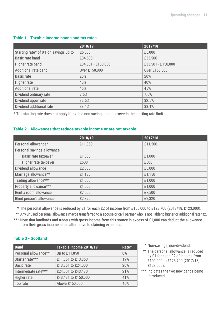|                                       | 2018/19            | 2017/18            |
|---------------------------------------|--------------------|--------------------|
| Starting rate* of 0% on savings up to | £5,000             | £5,000             |
| Basic rate band                       | £34,500            | £33,500            |
| Higher rate band                      | £34,501 - £150,000 | £33,501 - £150,000 |
| Additional rate band                  | Over £150,000      | Over £150,000      |
| Basic rate                            | 20%                | 20%                |
| Higher rate                           | 40%                | 40%                |
| <b>Additional rate</b>                | 45%                | 45%                |
| Dividend ordinary rate                | 7.5%               | 7.5%               |
| Dividend upper rate                   | 32.5%              | 32.5%              |
| Dividend additional rate              | 38.1%              | 38.1%              |

#### **Table 1 - Taxable income bands and tax rates**

\* The starting rate does not apply if taxable non-saving income exceeds the starting rate limit.

#### **Table 2 - Allowances that reduce taxable income or are not taxable**

|                             | 2018/19 | 2017/18 |
|-----------------------------|---------|---------|
| Personal allowance*         | £11,850 | £11,500 |
| Personal savings allowance: |         |         |
| Basic rate taxpayer         | £1,000  | £1,000  |
| Higher rate taxpayer        | £500    | £500    |
| Dividend allowance          | £2,000  | £5,000  |
| Marriage allowance**        | £1,185  | £1,150  |
| Trading allowance***        | £1,000  | £1,000  |
| Property allowance***       | £1,000  | £1,000  |
| Rent a room allowance       | £7,500  | £7,500  |
| Blind person's allowance    | £2,390  | £2,320  |

The personal allowance is reduced by £1 for each £2 of income from £100,000 to £123,700 (2017/18, £123,000). \*

\*\* Any unused personal allowance maybe transferred to a spouse or civil partner who is not liable to higher or additional rate tax.

\*\*\* Note that landlords and traders with gross income from this source in excess of £1,000 can deduct the allowance from their gross income as an alternative to claiming expenses.

#### **Table 3 - Scotland**

| <b>Band</b>          | Taxable income 2018/19 | Rate* |
|----------------------|------------------------|-------|
| Personal allowance** | Up to £11,850          | $0\%$ |
| Starter rate***      | £11,851 to £13,850     | 19%   |
| <b>Basic rate</b>    | £13,851 to £24,000     | 20%   |
| Intermediate rate*** | £24,001 to £43,430     | 21%   |
| Higher rate          | £43,431 to £150,000    | 41%   |
| Top rate             | Above £150,000         | 46%   |

- \* Non-savings, non-dividend.
- \*\* The personal allowance is reduced by £1 for each £2 of income from £100,000 to £123,700 (2017/18, £123,000).
- \*\*\* Indicates the two new bands being introduced.